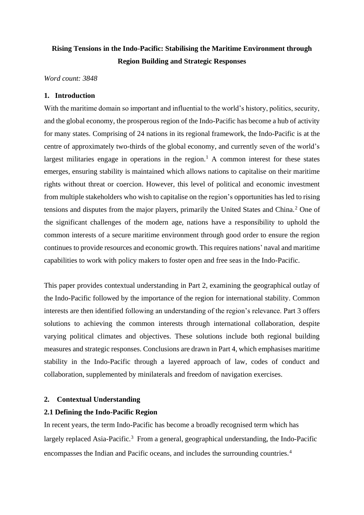# **Rising Tensions in the Indo-Pacific: Stabilising the Maritime Environment through Region Building and Strategic Responses**

*Word count: 3848*

## **1. Introduction**

With the maritime domain so important and influential to the world's history, politics, security, and the global economy, the prosperous region of the Indo-Pacific has become a hub of activity for many states. Comprising of 24 nations in its regional framework, the Indo-Pacific is at the centre of approximately two-thirds of the global economy, and currently seven of the world's largest militaries engage in operations in the region.<sup>1</sup> A common interest for these states emerges, ensuring stability is maintained which allows nations to capitalise on their maritime rights without threat or coercion. However, this level of political and economic investment from multiple stakeholders who wish to capitalise on the region's opportunities has led to rising tensions and disputes from the major players, primarily the United States and China.<sup>2</sup> One of the significant challenges of the modern age, nations have a responsibility to uphold the common interests of a secure maritime environment through good order to ensure the region continues to provide resources and economic growth. This requires nations' naval and maritime capabilities to work with policy makers to foster open and free seas in the Indo-Pacific.

This paper provides contextual understanding in Part 2, examining the geographical outlay of the Indo-Pacific followed by the importance of the region for international stability. Common interests are then identified following an understanding of the region's relevance. Part 3 offers solutions to achieving the common interests through international collaboration, despite varying political climates and objectives. These solutions include both regional building measures and strategic responses. Conclusions are drawn in Part 4, which emphasises maritime stability in the Indo-Pacific through a layered approach of law, codes of conduct and collaboration, supplemented by minilaterals and freedom of navigation exercises.

# **2. Contextual Understanding**

# **2.1 Defining the Indo-Pacific Region**

In recent years, the term Indo-Pacific has become a broadly recognised term which has largely replaced Asia-Pacific.<sup>3</sup> From a general, geographical understanding, the Indo-Pacific encompasses the Indian and Pacific oceans, and includes the surrounding countries.4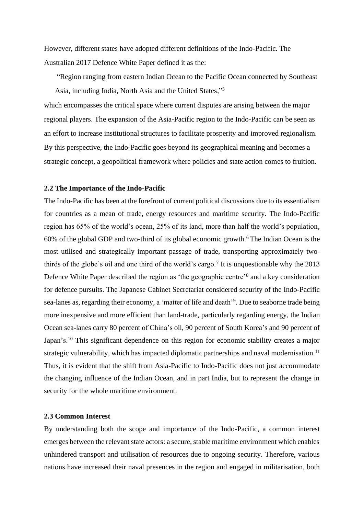However, different states have adopted different definitions of the Indo-Pacific. The Australian 2017 Defence White Paper defined it as the:

"Region ranging from eastern Indian Ocean to the Pacific Ocean connected by Southeast Asia, including India, North Asia and the United States," 5

which encompasses the critical space where current disputes are arising between the major regional players. The expansion of the Asia-Pacific region to the Indo-Pacific can be seen as an effort to increase institutional structures to facilitate prosperity and improved regionalism. By this perspective, the Indo-Pacific goes beyond its geographical meaning and becomes a strategic concept, a geopolitical framework where policies and state action comes to fruition.

#### **2.2 The Importance of the Indo-Pacific**

The Indo-Pacific has been at the forefront of current political discussions due to its essentialism for countries as a mean of trade, energy resources and maritime security. The Indo-Pacific region has 65% of the world's ocean, 25% of its land, more than half the world's population,  $60\%$  of the global GDP and two-third of its global economic growth.<sup>6</sup> The Indian Ocean is the most utilised and strategically important passage of trade, transporting approximately twothirds of the globe's oil and one third of the world's cargo.<sup>7</sup> It is unquestionable why the 2013 Defence White Paper described the region as 'the geographic centre'<sup>8</sup> and a key consideration for defence pursuits. The Japanese Cabinet Secretariat considered security of the Indo-Pacific sea-lanes as, regarding their economy, a 'matter of life and death'<sup>9</sup>. Due to seaborne trade being more inexpensive and more efficient than land-trade, particularly regarding energy, the Indian Ocean sea-lanes carry 80 percent of China's oil, 90 percent of South Korea's and 90 percent of Japan's.<sup>10</sup> This significant dependence on this region for economic stability creates a major strategic vulnerability, which has impacted diplomatic partnerships and naval modernisation.<sup>11</sup> Thus, it is evident that the shift from Asia-Pacific to Indo-Pacific does not just accommodate the changing influence of the Indian Ocean, and in part India, but to represent the change in security for the whole maritime environment.

#### **2.3 Common Interest**

By understanding both the scope and importance of the Indo-Pacific, a common interest emerges between the relevant state actors: a secure, stable maritime environment which enables unhindered transport and utilisation of resources due to ongoing security. Therefore, various nations have increased their naval presences in the region and engaged in militarisation, both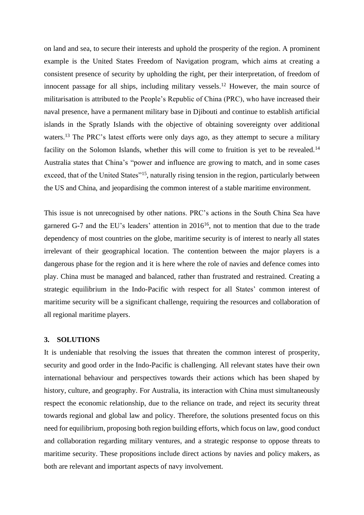on land and sea, to secure their interests and uphold the prosperity of the region. A prominent example is the United States Freedom of Navigation program, which aims at creating a consistent presence of security by upholding the right, per their interpretation, of freedom of innocent passage for all ships, including military vessels.<sup>12</sup> However, the main source of militarisation is attributed to the People's Republic of China (PRC), who have increased their naval presence, have a permanent military base in Djibouti and continue to establish artificial islands in the Spratly Islands with the objective of obtaining sovereignty over additional waters.<sup>13</sup> The PRC's latest efforts were only days ago, as they attempt to secure a military facility on the Solomon Islands, whether this will come to fruition is yet to be revealed.<sup>14</sup> Australia states that China's "power and influence are growing to match, and in some cases exceed, that of the United States"<sup>15</sup>, naturally rising tension in the region, particularly between the US and China, and jeopardising the common interest of a stable maritime environment.

This issue is not unrecognised by other nations. PRC's actions in the South China Sea have garnered G-7 and the EU's leaders' attention in 2016<sup>16</sup>, not to mention that due to the trade dependency of most countries on the globe, maritime security is of interest to nearly all states irrelevant of their geographical location. The contention between the major players is a dangerous phase for the region and it is here where the role of navies and defence comes into play. China must be managed and balanced, rather than frustrated and restrained. Creating a strategic equilibrium in the Indo-Pacific with respect for all States' common interest of maritime security will be a significant challenge, requiring the resources and collaboration of all regional maritime players.

### **3. SOLUTIONS**

It is undeniable that resolving the issues that threaten the common interest of prosperity, security and good order in the Indo-Pacific is challenging. All relevant states have their own international behaviour and perspectives towards their actions which has been shaped by history, culture, and geography. For Australia, its interaction with China must simultaneously respect the economic relationship, due to the reliance on trade, and reject its security threat towards regional and global law and policy. Therefore, the solutions presented focus on this need for equilibrium, proposing both region building efforts, which focus on law, good conduct and collaboration regarding military ventures, and a strategic response to oppose threats to maritime security. These propositions include direct actions by navies and policy makers, as both are relevant and important aspects of navy involvement.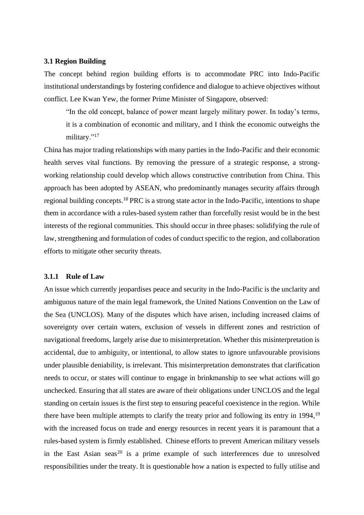#### **3.1 Region Building**

The concept behind region building efforts is to accommodate PRC into Indo-Pacific institutional understandings by fostering confidence and dialogue to achieve objectives without conflict. Lee Kwan Yew, the former Prime Minister of Singapore, observed:

"In the old concept, balance of power meant largely military power. In today's terms, it is a combination of economic and military, and I think the economic outweighs the military."<sup>17</sup>

China has major trading relationships with many parties in the Indo-Pacific and their economic health serves vital functions. By removing the pressure of a strategic response, a strongworking relationship could develop which allows constructive contribution from China. This approach has been adopted by ASEAN, who predominantly manages security affairs through regional building concepts.<sup>18</sup> PRC is a strong state actor in the Indo-Pacific, intentions to shape them in accordance with a rules-based system rather than forcefully resist would be in the best interests of the regional communities. This should occur in three phases: solidifying the rule of law, strengthening and formulation of codes of conduct specific to the region, and collaboration efforts to mitigate other security threats.

#### **3.1.1 Rule of Law**

An issue which currently jeopardises peace and security in the Indo-Pacific is the unclarity and ambiguous nature of the main legal framework, the United Nations Convention on the Law of the Sea (UNCLOS). Many of the disputes which have arisen, including increased claims of sovereignty over certain waters, exclusion of vessels in different zones and restriction of navigational freedoms, largely arise due to misinterpretation. Whether this misinterpretation is accidental, due to ambiguity, or intentional, to allow states to ignore unfavourable provisions under plausible deniability, is irrelevant. This misinterpretation demonstrates that clarification needs to occur, or states will continue to engage in brinkmanship to see what actions will go unchecked. Ensuring that all states are aware of their obligations under UNCLOS and the legal standing on certain issues is the first step to ensuring peaceful coexistence in the region. While there have been multiple attempts to clarify the treaty prior and following its entry in 1994,<sup>19</sup> with the increased focus on trade and energy resources in recent years it is paramount that a rules-based system is firmly established. Chinese efforts to prevent American military vessels in the East Asian seas<sup>20</sup> is a prime example of such interferences due to unresolved responsibilities under the treaty. It is questionable how a nation is expected to fully utilise and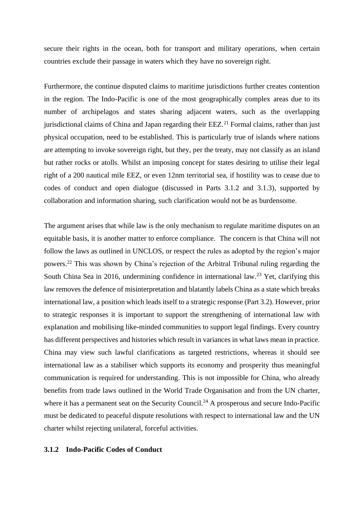secure their rights in the ocean, both for transport and military operations, when certain countries exclude their passage in waters which they have no sovereign right.

Furthermore, the continue disputed claims to maritime jurisdictions further creates contention in the region. The Indo-Pacific is one of the most geographically complex areas due to its number of archipelagos and states sharing adjacent waters, such as the overlapping jurisdictional claims of China and Japan regarding their EEZ.<sup>21</sup> Formal claims, rather than just physical occupation, need to be established. This is particularly true of islands where nations are attempting to invoke sovereign right, but they, per the treaty, may not classify as an island but rather rocks or atolls. Whilst an imposing concept for states desiring to utilise their legal right of a 200 nautical mile EEZ, or even 12nm territorial sea, if hostility was to cease due to codes of conduct and open dialogue (discussed in Parts 3.1.2 and 3.1.3), supported by collaboration and information sharing, such clarification would not be as burdensome.

The argument arises that while law is the only mechanism to regulate maritime disputes on an equitable basis, it is another matter to enforce compliance. The concern is that China will not follow the laws as outlined in UNCLOS, or respect the rules as adopted by the region's major powers.<sup>22</sup> This was shown by China's rejection of the Arbitral Tribunal ruling regarding the South China Sea in 2016, undermining confidence in international law.<sup>23</sup> Yet, clarifying this law removes the defence of misinterpretation and blatantly labels China as a state which breaks international law, a position which leads itself to a strategic response (Part 3.2). However, prior to strategic responses it is important to support the strengthening of international law with explanation and mobilising like-minded communities to support legal findings. Every country has different perspectives and histories which result in variances in what laws mean in practice. China may view such lawful clarifications as targeted restrictions, whereas it should see international law as a stabiliser which supports its economy and prosperity thus meaningful communication is required for understanding. This is not impossible for China, who already benefits from trade laws outlined in the World Trade Organisation and from the UN charter, where it has a permanent seat on the Security Council.<sup>24</sup> A prosperous and secure Indo-Pacific must be dedicated to peaceful dispute resolutions with respect to international law and the UN charter whilst rejecting unilateral, forceful activities.

#### **3.1.2 Indo-Pacific Codes of Conduct**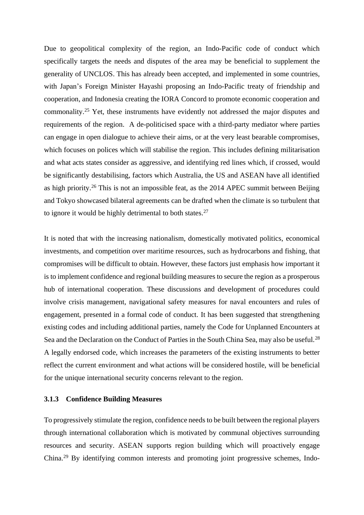Due to geopolitical complexity of the region, an Indo-Pacific code of conduct which specifically targets the needs and disputes of the area may be beneficial to supplement the generality of UNCLOS. This has already been accepted, and implemented in some countries, with Japan's Foreign Minister Hayashi proposing an Indo-Pacific treaty of friendship and cooperation, and Indonesia creating the IORA Concord to promote economic cooperation and commonality. <sup>25</sup> Yet, these instruments have evidently not addressed the major disputes and requirements of the region. A de-politicised space with a third-party mediator where parties can engage in open dialogue to achieve their aims, or at the very least bearable compromises, which focuses on polices which will stabilise the region. This includes defining militarisation and what acts states consider as aggressive, and identifying red lines which, if crossed, would be significantly destabilising, factors which Australia, the US and ASEAN have all identified as high priority.<sup>26</sup> This is not an impossible feat, as the 2014 APEC summit between Beijing and Tokyo showcased bilateral agreements can be drafted when the climate is so turbulent that to ignore it would be highly detrimental to both states.<sup>27</sup>

It is noted that with the increasing nationalism, domestically motivated politics, economical investments, and competition over maritime resources, such as hydrocarbons and fishing, that compromises will be difficult to obtain. However, these factors just emphasis how important it is to implement confidence and regional building measures to secure the region as a prosperous hub of international cooperation. These discussions and development of procedures could involve crisis management, navigational safety measures for naval encounters and rules of engagement, presented in a formal code of conduct. It has been suggested that strengthening existing codes and including additional parties, namely the Code for Unplanned Encounters at Sea and the Declaration on the Conduct of Parties in the South China Sea, may also be useful.<sup>28</sup> A legally endorsed code, which increases the parameters of the existing instruments to better reflect the current environment and what actions will be considered hostile, will be beneficial for the unique international security concerns relevant to the region.

## **3.1.3 Confidence Building Measures**

To progressively stimulate the region, confidence needs to be built between the regional players through international collaboration which is motivated by communal objectives surrounding resources and security. ASEAN supports region building which will proactively engage China.<sup>29</sup> By identifying common interests and promoting joint progressive schemes, Indo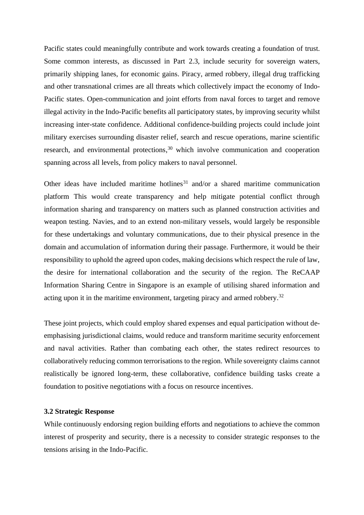Pacific states could meaningfully contribute and work towards creating a foundation of trust. Some common interests, as discussed in Part 2.3, include security for sovereign waters, primarily shipping lanes, for economic gains. Piracy, armed robbery, illegal drug trafficking and other transnational crimes are all threats which collectively impact the economy of Indo-Pacific states. Open-communication and joint efforts from naval forces to target and remove illegal activity in the Indo-Pacific benefits all participatory states, by improving security whilst increasing inter-state confidence. Additional confidence-building projects could include joint military exercises surrounding disaster relief, search and rescue operations, marine scientific research, and environmental protections,<sup>30</sup> which involve communication and cooperation spanning across all levels, from policy makers to naval personnel.

Other ideas have included maritime hotlines $31$  and/or a shared maritime communication platform This would create transparency and help mitigate potential conflict through information sharing and transparency on matters such as planned construction activities and weapon testing. Navies, and to an extend non-military vessels, would largely be responsible for these undertakings and voluntary communications, due to their physical presence in the domain and accumulation of information during their passage. Furthermore, it would be their responsibility to uphold the agreed upon codes, making decisions which respect the rule of law, the desire for international collaboration and the security of the region. The ReCAAP Information Sharing Centre in Singapore is an example of utilising shared information and acting upon it in the maritime environment, targeting piracy and armed robbery. 32

These joint projects, which could employ shared expenses and equal participation without deemphasising jurisdictional claims, would reduce and transform maritime security enforcement and naval activities. Rather than combating each other, the states redirect resources to collaboratively reducing common terrorisations to the region. While sovereignty claims cannot realistically be ignored long-term, these collaborative, confidence building tasks create a foundation to positive negotiations with a focus on resource incentives.

#### **3.2 Strategic Response**

While continuously endorsing region building efforts and negotiations to achieve the common interest of prosperity and security, there is a necessity to consider strategic responses to the tensions arising in the Indo-Pacific.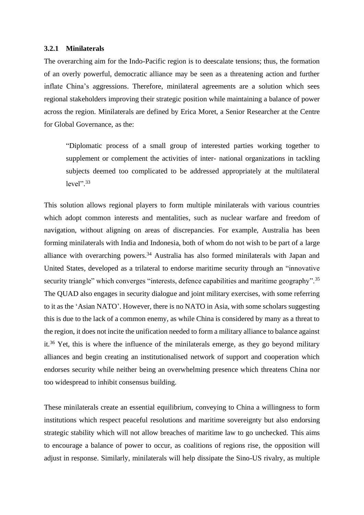#### **3.2.1 Minilaterals**

The overarching aim for the Indo-Pacific region is to deescalate tensions; thus, the formation of an overly powerful, democratic alliance may be seen as a threatening action and further inflate China's aggressions. Therefore, minilateral agreements are a solution which sees regional stakeholders improving their strategic position while maintaining a balance of power across the region. Minilaterals are defined by Erica Moret, a Senior Researcher at the Centre for Global Governance, as the:

"Diplomatic process of a small group of interested parties working together to supplement or complement the activities of inter- national organizations in tackling subjects deemed too complicated to be addressed appropriately at the multilateral level". 33

This solution allows regional players to form multiple minilaterals with various countries which adopt common interests and mentalities, such as nuclear warfare and freedom of navigation, without aligning on areas of discrepancies. For example, Australia has been forming minilaterals with India and Indonesia, both of whom do not wish to be part of a large alliance with overarching powers.<sup>34</sup> Australia has also formed minilaterals with Japan and United States, developed as a trilateral to endorse maritime security through an "innovative security triangle" which converges "interests, defence capabilities and maritime geography".<sup>35</sup> The QUAD also engages in security dialogue and joint military exercises, with some referring to it as the 'Asian NATO'. However, there is no NATO in Asia, with some scholars suggesting this is due to the lack of a common enemy, as while China is considered by many as a threat to the region, it does not incite the unification needed to form a military alliance to balance against it.<sup>36</sup> Yet, this is where the influence of the minilaterals emerge, as they go beyond military alliances and begin creating an institutionalised network of support and cooperation which endorses security while neither being an overwhelming presence which threatens China nor too widespread to inhibit consensus building.

These minilaterals create an essential equilibrium, conveying to China a willingness to form institutions which respect peaceful resolutions and maritime sovereignty but also endorsing strategic stability which will not allow breaches of maritime law to go unchecked. This aims to encourage a balance of power to occur, as coalitions of regions rise, the opposition will adjust in response. Similarly, minilaterals will help dissipate the Sino-US rivalry, as multiple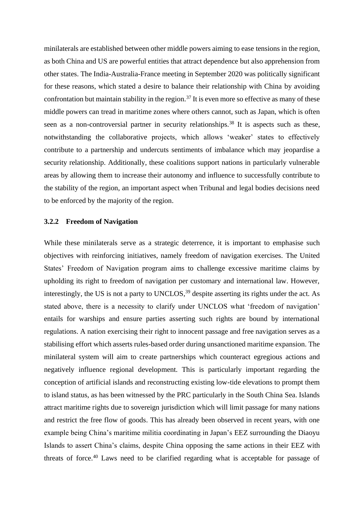minilaterals are established between other middle powers aiming to ease tensions in the region, as both China and US are powerful entities that attract dependence but also apprehension from other states. The India-Australia-France meeting in September 2020 was politically significant for these reasons, which stated a desire to balance their relationship with China by avoiding confrontation but maintain stability in the region.<sup>37</sup> It is even more so effective as many of these middle powers can tread in maritime zones where others cannot, such as Japan, which is often seen as a non-controversial partner in security relationships.<sup>38</sup> It is aspects such as these, notwithstanding the collaborative projects, which allows 'weaker' states to effectively contribute to a partnership and undercuts sentiments of imbalance which may jeopardise a security relationship. Additionally, these coalitions support nations in particularly vulnerable areas by allowing them to increase their autonomy and influence to successfully contribute to the stability of the region, an important aspect when Tribunal and legal bodies decisions need to be enforced by the majority of the region.

#### **3.2.2 Freedom of Navigation**

While these minilaterals serve as a strategic deterrence, it is important to emphasise such objectives with reinforcing initiatives, namely freedom of navigation exercises. The United States' Freedom of Navigation program aims to challenge excessive maritime claims by upholding its right to freedom of navigation per customary and international law. However, interestingly, the US is not a party to UNCLOS,<sup>39</sup> despite asserting its rights under the act. As stated above, there is a necessity to clarify under UNCLOS what 'freedom of navigation' entails for warships and ensure parties asserting such rights are bound by international regulations. A nation exercising their right to innocent passage and free navigation serves as a stabilising effort which asserts rules-based order during unsanctioned maritime expansion. The minilateral system will aim to create partnerships which counteract egregious actions and negatively influence regional development. This is particularly important regarding the conception of artificial islands and reconstructing existing low-tide elevations to prompt them to island status, as has been witnessed by the PRC particularly in the South China Sea. Islands attract maritime rights due to sovereign jurisdiction which will limit passage for many nations and restrict the free flow of goods. This has already been observed in recent years, with one example being China's maritime militia coordinating in Japan's EEZ surrounding the Diaoyu Islands to assert China's claims, despite China opposing the same actions in their EEZ with threats of force.<sup>40</sup> Laws need to be clarified regarding what is acceptable for passage of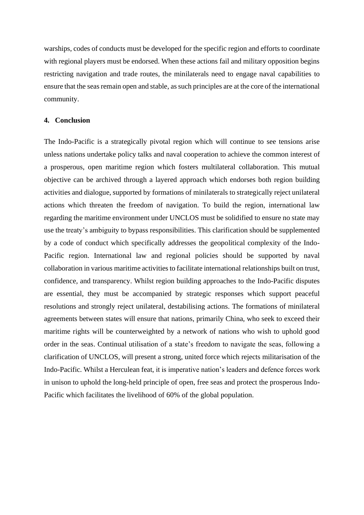warships, codes of conducts must be developed for the specific region and efforts to coordinate with regional players must be endorsed. When these actions fail and military opposition begins restricting navigation and trade routes, the minilaterals need to engage naval capabilities to ensure that the seas remain open and stable, as such principles are at the core of the international community.

#### **4. Conclusion**

The Indo-Pacific is a strategically pivotal region which will continue to see tensions arise unless nations undertake policy talks and naval cooperation to achieve the common interest of a prosperous, open maritime region which fosters multilateral collaboration. This mutual objective can be archived through a layered approach which endorses both region building activities and dialogue, supported by formations of minilaterals to strategically reject unilateral actions which threaten the freedom of navigation. To build the region, international law regarding the maritime environment under UNCLOS must be solidified to ensure no state may use the treaty's ambiguity to bypass responsibilities. This clarification should be supplemented by a code of conduct which specifically addresses the geopolitical complexity of the Indo-Pacific region. International law and regional policies should be supported by naval collaboration in various maritime activities to facilitate international relationships built on trust, confidence, and transparency. Whilst region building approaches to the Indo-Pacific disputes are essential, they must be accompanied by strategic responses which support peaceful resolutions and strongly reject unilateral, destabilising actions. The formations of minilateral agreements between states will ensure that nations, primarily China, who seek to exceed their maritime rights will be counterweighted by a network of nations who wish to uphold good order in the seas. Continual utilisation of a state's freedom to navigate the seas, following a clarification of UNCLOS, will present a strong, united force which rejects militarisation of the Indo-Pacific. Whilst a Herculean feat, it is imperative nation's leaders and defence forces work in unison to uphold the long-held principle of open, free seas and protect the prosperous Indo-Pacific which facilitates the livelihood of 60% of the global population.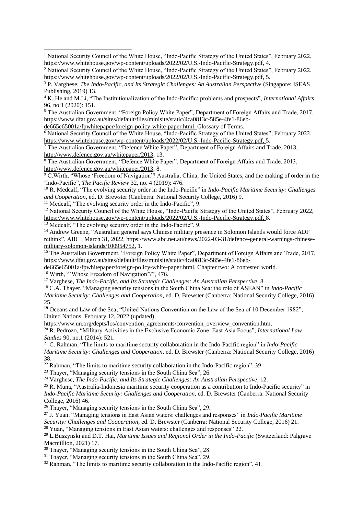<sup>5</sup> The Australian Government, "Foreign Policy White Paper", Department of Foreign Affairs and Trade, 2017, [https://www.dfat.gov.au/sites/default/files/minisite/static/4ca0813c-585e-4fe1-86eb-](https://www.dfat.gov.au/sites/default/files/minisite/static/4ca0813c-585e-4fe1-86eb-de665e65001a/fpwhitepaper/foreign-policy-white-paper.html)

[de665e65001a/fpwhitepaper/foreign-policy-white-paper.html,](https://www.dfat.gov.au/sites/default/files/minisite/static/4ca0813c-585e-4fe1-86eb-de665e65001a/fpwhitepaper/foreign-policy-white-paper.html) Glossary of Terms.

<sup>6</sup> National Security Council of the White House, "Indo-Pacific Strategy of the United States", February 2022, [https://www.whitehouse.gov/wp-content/uploads/2022/02/U.S.-Indo-Pacific-Strategy.pdf,](https://www.whitehouse.gov/wp-content/uploads/2022/02/U.S.-Indo-Pacific-Strategy.pdf) 5.

<sup>7</sup> The Australian Government, "Defence White Paper", Department of Foreign Affairs and Trade, 2013, [http://www.defence.gov.au/whitepaper/2013,](http://www.defence.gov.au/whitepaper/2013) 13.

<sup>8</sup> The Australian Government, "Defence White Paper", Department of Foreign Affairs and Trade, 2013, [http://www.defence.gov.au/whitepaper/2013,](http://www.defence.gov.au/whitepaper/2013) 8.

<sup>9</sup> C.Wirth, "Whose 'Freedom of Navigation'? Australia, China, the United States, and the making of order in the 'Indo-Pacific", *The Pacific Review* 32, no. 4 (2019): 476.

<sup>10</sup> R. Medcalf, "The evolving security order in the Indo-Pacific" in *Indo-Pacific Maritime Security: Challenges and Cooperation,* ed. D. Brewster (Canberra: National Security College, 2016) 9.

<sup>11</sup> Medcalf, "The evolving security order in the Indo-Pacific", 9.

<sup>12</sup> National Security Council of the White House, "Indo-Pacific Strategy of the United States", February 2022, [https://www.whitehouse.gov/wp-content/uploads/2022/02/U.S.-Indo-Pacific-Strategy.pdf,](https://www.whitehouse.gov/wp-content/uploads/2022/02/U.S.-Indo-Pacific-Strategy.pdf) 8.

 $\frac{13}{13}$  Medcalf, "The evolving security order in the Indo-Pacific", 9.

<sup>14</sup> Andrew Greene, "Australian general says Chinese military presence in Solomon Islands would force ADF rethink", ABC , March 31, 2022[, https://www.abc.net.au/news/2022-03-31/defence-general-warnings-chinese](https://www.abc.net.au/news/2022-03-31/defence-general-warnings-chinese-military-solomon-islands/100954752)[military-solomon-islands/100954752,](https://www.abc.net.au/news/2022-03-31/defence-general-warnings-chinese-military-solomon-islands/100954752) 1.

<sup>15</sup> The Australian Government, "Foreign Policy White Paper", Department of Foreign Affairs and Trade, 2017, [https://www.dfat.gov.au/sites/default/files/minisite/static/4ca0813c-585e-4fe1-86eb-](https://www.dfat.gov.au/sites/default/files/minisite/static/4ca0813c-585e-4fe1-86eb-de665e65001a/fpwhitepaper/foreign-policy-white-paper.html)

[de665e65001a/fpwhitepaper/foreign-policy-white-paper.html,](https://www.dfat.gov.au/sites/default/files/minisite/static/4ca0813c-585e-4fe1-86eb-de665e65001a/fpwhitepaper/foreign-policy-white-paper.html) Chapter two: A contested world.

<sup>16</sup> Wirth, "Whose Freedom of Navigation'?", 476.

<sup>17</sup> Varghese, *The Indo-Pacific, and Its Strategic Challenges: An Australian Perspective,* 8.

<sup>18</sup> C.A. Thayer, "Managing security tensions in the South China Sea: the role of ASEAN" in *Indo-Pacific Maritime Security: Challenges and Cooperation,* ed. D. Brewster (Canberra: National Security College, 2016) 25.

<sup>19</sup> Oceans and Law of the Sea, "United Nations Convention on the Law of the Sea of 10 December 1982", United Nations, February 12, 2022 (updated),

https://www.un.org/depts/los/convention\_agreements/convention\_overview\_convention.htm. <sup>20</sup> R. Pedrozo, "Military Activities in the Exclusive Economic Zone: East Asia Focus", *International Law Studies* 90, no.1 (2014): 521.

<sup>21</sup> C. Rahman, "The limits to maritime security collaboration in the Indo-Pacific region" in *Indo-Pacific Maritime Security: Challenges and Cooperation,* ed. D. Brewster (Canberra: National Security College, 2016) 38.

 $22$  Rahman, "The limits to maritime security collaboration in the Indo-Pacific region", 39.

<sup>23</sup> Thaver, "Managing security tensions in the South China Sea", 26.

<sup>24</sup> Varghese, *The Indo-Pacific, and Its Strategic Challenges: An Australian Perspective,* 12.

<sup>25</sup> R. Muna, "Australia-Indonesia maritime security cooperation as a contribution to Indo-Pacific security" in *Indo-Pacific Maritime Security: Challenges and Cooperation,* ed. D. Brewster (Canberra: National Security College, 2016) 46.

<sup>26</sup> Thayer, "Managing security tensions in the South China Sea", 29.

<sup>27</sup> J. Yuan, "Managing tensions in East Asian waters: challenges and responses" in *Indo-Pacific Maritime* 

*Security: Challenges and Cooperation,* ed. D. Brewster (Canberra: National Security College, 2016) 21.

 $28$  Yuan, "Managing tensions in East Asian waters: challenges and responses" 22.

<sup>29</sup> L.Buszynski and D.T. Hai, *Maritime Issues and Regional Order in the Indo-Pacific* (Switzerland: Palgrave Macmillion, 2021) 17.

<sup>30</sup> Thayer, "Managing security tensions in the South China Sea", 28.

<sup>31</sup> Thayer, "Managing security tensions in the South China Sea", 29.

<sup>32</sup> Rahman, "The limits to maritime security collaboration in the Indo-Pacific region", 41.

<sup>&</sup>lt;sup>1</sup> National Security Council of the White House, "Indo-Pacific Strategy of the United States", February 2022, [https://www.whitehouse.gov/wp-content/uploads/2022/02/U.S.-Indo-Pacific-Strategy.pdf,](https://www.whitehouse.gov/wp-content/uploads/2022/02/U.S.-Indo-Pacific-Strategy.pdf) 4.

<sup>&</sup>lt;sup>2</sup> National Security Council of the White House, "Indo-Pacific Strategy of the United States", February 2022, [https://www.whitehouse.gov/wp-content/uploads/2022/02/U.S.-Indo-Pacific-Strategy.pdf,](https://www.whitehouse.gov/wp-content/uploads/2022/02/U.S.-Indo-Pacific-Strategy.pdf) 5.

<sup>3</sup> P. Varghese, *The Indo-Pacific, and Its Strategic Challenges: An Australian Perspective* (Singapore: ISEAS Publishing, 2019) 13.

<sup>4</sup> K. He and M.Li, "The Institutionalization of the Indo-Pacific: problems and prospects", *International Affairs*  96, no.1 (2020): 151.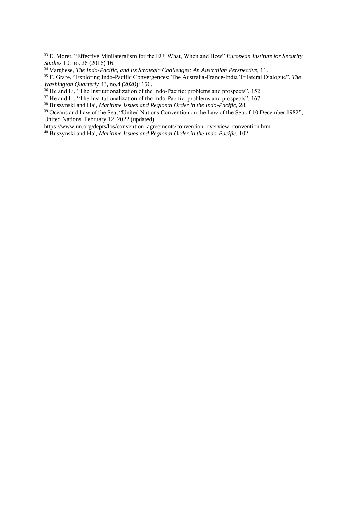<sup>39</sup> Oceans and Law of the Sea, "United Nations Convention on the Law of the Sea of 10 December 1982", United Nations, February 12, 2022 (updated),

https://www.un.org/depts/los/convention\_agreements/convention\_overview\_convention.htm.

<sup>33</sup> E. Moret, "Effective Minilateralism for the EU: What, When and How" *European Institute for Security Studies* 10, no. 26 (2016) 16.

<sup>34</sup> Varghese, *The Indo-Pacific, and Its Strategic Challenges: An Australian Perspective,* 11.

<sup>35</sup> F. Grare, "Exploring Indo-Pacific Convergences: The Australia-France-India Trilateral Dialogue", *The Washington Quarterly* 43, no.4 (2020): 156.

<sup>&</sup>lt;sup>36</sup> He and Li, "The Institutionalization of the Indo-Pacific: problems and prospects", 152.

 $37$  He and Li, "The Institutionalization of the Indo-Pacific: problems and prospects", 167.

<sup>38</sup> Buszynski and Hai, *Maritime Issues and Regional Order in the Indo-Pacific*, 28.

<sup>40</sup> Buszynski and Hai, *Maritime Issues and Regional Order in the Indo-Pacific*, 102.